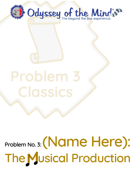

Problem No. 3: (Name Here): **The Musical Production**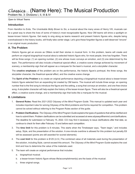# *Classics…* (Name Here): The Musical Production

Problem No. 3: Divisions I, II, III & IV

*Open to Virtual Teams*

## **Introduction**

From *Hamilton* to *Evita*, *The Unsinkable Molly Brown* to *Six*, a musical about the many wives of Henry VIII, musicals can be a great way to share the lives of some of history's most recognizable figures*.* Now OM teams will shine a spotlight on lesser-known historic figures. Get ready to sing along as teams research and present historic figures who, despite being overshadowed in the history books, will finally take center stage. Let's give these forgotten figures a well-deserved "encore" in an original music production.

# **A. The Problem**

Historic figures get an encore as OMers re-tell their stories in musical form. In this problem, teams will create and perform an original biographical musical about a selected historic figure who, for most people, time has forgotten. There will be three songs: (1) an opening number, (2) one whose music conveys an emotion, and (3) one determined by the team. The performance will also include a theatrical special effect, a creative scene change achieved by movement of scenery, a membership sign that will appear as a marquee for the team's musical, and a storyteller character.

The **creative emphases** of the problem are on the performance, the historic figure's portrayal, the three songs, the storyteller character, the theatrical special effect, and the creative scene change.

The **Spirit of the Problem** is to create an original performance depicting a biographical musical about a lesser-known historic figure selected from an expanding list created by OM teams. The musical will include three songs: an opening number that is the first song to introduce the figure and the setting, a song that conveys an emotion, and one free-choice song. A storyteller character will help explain the history of the lesser-known figure. There will also be a theatrical special effect, a creative scene change, and a membership sign that looks like a marquee for the musical.

### **B. Limitations**

- 1. **General Rules:** Read the *2021-2022 Odyssey of the Mind Program Guide*. This manual is updated each year and includes important rules for solving Odyssey of the Mind problems and forms required for competition. This problem cannot be solved without referring to the Program Rules section of the guide.
- 2. **Problem Clarifications:** *The Odyssey of the Mind Program Guide* explains the types of questions that will be clarified and how to submit them. Problem clarifications can be submitted and accessed at www.odysseyofthemind.com/clarifications. The deadline for submission is February 15, 2022. CCI may find it necessary to issue clarifications after that date, so continue to check for them after February 15 and before each competition.
- 3. The **time limit** for this problem is 8 minutes. This starts when the Timekeeper says, "Team begin," and includes setup, Style, and the presentation of the solution. A one-minute overtime is allowed for this problem but penalty E6 will be assessed (points are still awarded for scored elements).
- 4. The **cost limit** for this problem is \$125 (U.S.) The combined value of all materials used during the presentation of the solution, including Style, cannot exceed this amount. *The Odyssey of the Mind Program Guide* explains the cost limit and how to determine the value of the materials used.
- 5. The team will create an original performance that includes:
	- a. biographical musical.
	- b. a lesser-known historic figure whose life/accomplishment(s) are the basis of the musical.
	- c. three original songs.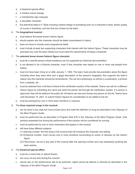- d. a theatrical special effect.
- e. a creative scene change.
- f. a membership sign marquee.
- g. a storyteller character.
- h. five elements listed in F. Style including creative design of something worn on a character's head, artistic quality of a prop or backdrop*,* and two that are chosen by the team.

#### 6. The **biographical musical**:

- a. must feature the lesser-known historic figure.
- b. should explain why the character should be better remembered in history.
- c. does not have to include every biographical detail.
- d. must include at least two supporting characters that interact with the historic figure. These characters may be portrayed any way the team wishes but must meet the requirements of being a character.

#### 7. The **selected** *lesser-known* **historic figure character**:

- a. must be a real-life person whose existence can be supported by historical documentation.
- b. is not allowed to be a fictional character, even if that character was based on one or more real people from history.
- c. must not have been living on or after January 1, 1920. The team must provide documentation about the figure including when they were alive and a short description of the person's biography that supports the team's reason why the character should be remembered. This can be a photocopy, an article in a publication, a printout from a website, etc.
- d. must be selected from a list that is linked at the clarification section of the website. Teams can ask for a different historic figure by submitting the name and what the person did through the clarification system. If a person is approved, they will be added to the public list. All teams can see and choose any person on the list. Teams have until December 15, 2021, to submit historic figures for consideration to be added to the list.
- e. must be portrayed by *one or more team members* in costume.

#### 8. The **three required songs in the musical**:

- a. can be done in any style but must include lyrics and meet the definition of *song* as described in the *Odyssey of the Mind Program Guide*.
- b. must be performed live as described in Program Rule #16 in the *Odyssey of the Mind Program Guide*. Only portions presented live during the performance of the solution will be considered for scoring.
- c. must be performed by one or more characters that appear in the musical.
- d. will have three different subjects:
	- (1) Opening number: the first song in the musical that will introduce the character and setting.
	- (2) Emotional number: must convey one or more emotions surrounding an action or decision by the historic figure.
	- (3) Free-choice: can be in any part of the musical after the opening number and may emphasize anything the team wishes.

#### 9. The **theatrical special effect**:

- a. must be a visual trick or optical illusion.
- b. can occur at any time during the musical.
- c. cannot rely on the performance site to be achieved. Lights cannot be altered or dimmed as described in the *Odyssey of the Mind Program Guide*.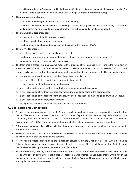d. must be considered safe as described in the Program Guide and not cause damage to the competition site. For example, smoke cannot be used (see *Safety and Damage Control* in the Program Rules).

#### 10. The **creative scene change**:

- a. transforms one setting of the musical into a different setting.
- b. must use only the set pieces from the first setting to create the set pieces of the second setting. The second setting doesn't have to include everything from the first, but nothing additional can be added.

#### 11. The **membership sign marquee**:

- a. will include the title of the biographical musical.
- b. must be visible to the judges and audience.
- c. must meet the rules of a membership sign as described in the *Program Guide*.

#### 12. The **storyteller character**:

- a. will help explain the selected historic figure's biography.
- b. can be portrayed any way the team wishes but must meet the requirements of being a character.
- c. does not have to be a character within the musical.
- 13. The team should present the Staging Area Judge with four copies of the Team List Form found in the forms section at www.odysseyofthemind.com/members or four copies of a list on one side of one or two sheets of 8 1/2" x 11" or A4 paper. This list can be hand-printed, typed, or computer generated. It is for reference only. This list must include:
	- a. the team's membership name and number, the problem and division.
	- b. the name of the selected historic figure featured in the musical.
	- c. a brief description of the two supporting characters.
	- d. when in the performance and the order the three required songs will take place.
	- e. a brief description of the theatrical special effect and when it takes place in the performance.
	- f. a brief description of the creative scene change, the set pieces used in both settings, and when it will occur.
	- g. a brief description of the storyteller character.
	- h. the signal the team will use to indicate it has finished its performance.

### **C. Site, Setup and Competition**

- 1. A stage or floor area a minimum of 7' x 10' (2.1m x 3m) will be used, but a larger area is desirable. This will not be marked. Teams must be prepared to perform in a 7' x 10' area. If space permits, the team may perform and/or place equipment, props, etc. outside the 7' x 10' area. If a drop-off exists beyond the 7' x 10' dimensions, a caution line may be taped 30" (76.2cm) from the edge of the drop-off. This will serve as a warning, not a boundary.
- 2. A three-prong electrical outlet will be available at the performance area. Teams must bring their own extension cords and adapters, if needed.
- 3. The team members should report to the competition site with all items for the presentation of their solution at least 15 minutes before they are scheduled to compete.
- 4. It is the team's responsibility to complete its problem solution within the 8-minute time limit. When the team is finished, it must signal the judges. An overtime penalty will be assessed if the team takes more than 8 minutes, and the Timekeeper will stop the team after one minute of overtime.
- 5. Teams should bring cleaning utensils to clean up any mess. Should a team take an unreasonable amount of time to clean the site, or leave a mess, the judges will assess an Unsportsmanlike Conduct penalty. Others not on the team's roster can help the team clear the site and remove the team's props. The competition area must be left clean and dry for the next competing team.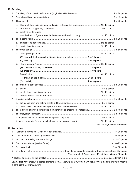# **D. Scoring**

| 1. |                                                                            |                              |  |
|----|----------------------------------------------------------------------------|------------------------------|--|
| 2. |                                                                            |                              |  |
| 3. |                                                                            |                              |  |
|    | a.                                                                         |                              |  |
|    | b.                                                                         |                              |  |
|    | creativity of its reason<br>C.                                             |                              |  |
|    |                                                                            |                              |  |
| 4. |                                                                            |                              |  |
|    | а.                                                                         |                              |  |
|    |                                                                            |                              |  |
| 5. |                                                                            |                              |  |
|    | a.                                                                         |                              |  |
|    | (1) how well it introduces the historic figure and setting  1 to 10 points |                              |  |
|    |                                                                            |                              |  |
|    | b.                                                                         |                              |  |
|    |                                                                            |                              |  |
|    |                                                                            |                              |  |
|    | C.                                                                         |                              |  |
|    |                                                                            |                              |  |
|    |                                                                            |                              |  |
| 6. |                                                                            |                              |  |
|    | а.                                                                         |                              |  |
|    | b.<br>C.                                                                   |                              |  |
| 7. |                                                                            |                              |  |
|    |                                                                            |                              |  |
|    | a.<br>b.                                                                   |                              |  |
| 8. |                                                                            |                              |  |
| 9. |                                                                            |                              |  |
|    |                                                                            |                              |  |
|    |                                                                            |                              |  |
|    |                                                                            | Maximum possible: 200 points |  |
|    | <b>E. Penalties</b>                                                        |                              |  |
| 1. |                                                                            |                              |  |
| 2. |                                                                            |                              |  |
|    |                                                                            |                              |  |
| 3. |                                                                            |                              |  |
| 4. |                                                                            |                              |  |
| 5. |                                                                            |                              |  |
| 6. | (For example: 27 seconds = -15 points) maximum -30 points                  |                              |  |
|    |                                                                            |                              |  |

*Teams that don't present a scored element (see D. Scoring) of the problem will not receive a penalty, they will receive a zero score for that category.*